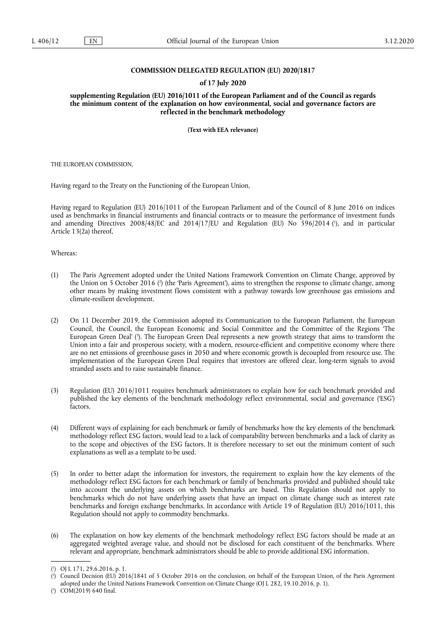### **COMMISSION DELEGATED REGULATION (EU) 2020/1817**

### **of 17 July 2020**

**supplementing Regulation (EU) 2016/1011 of the European Parliament and of the Council as regards the minimum content of the explanation on how environmental, social and governance factors are reflected in the benchmark methodology** 

**(Text with EEA relevance)** 

THE EUROPEAN COMMISSION,

Having regard to the Treaty on the Functioning of the European Union,

<span id="page-0-3"></span>Having regard to Regulation (EU) 2016/1011 of the European Parliament and of the Council of 8 June 2016 on indices used as benchmarks in financial instruments and financial contracts or to measure the performance of investment funds and amending Directives 2008/48/EC and 2014/17/EU and Regulation (EU) No 596/2014 ( 1 [\),](#page-0-0) and in particular Article 13(2a) thereof,

Whereas:

- <span id="page-0-4"></span>(1) The Paris Agreement adopted under the United Nations Framework Convention on Climate Change, approved by the Union on 5 October 2016 ( 2 [\)](#page-0-1) (the 'Paris Agreement'), aims to strengthen the response to climate change, among other means by making investment flows consistent with a pathway towards low greenhouse gas emissions and climate-resilient development.
- <span id="page-0-5"></span>(2) On 11 December 2019, the Commission adopted its Communication to the European Parliament, the European Council, the Council, the European Economic and Social Committee and the Committee of the Regions 'The European Green Deal' [\(](#page-0-2)3). The European Green Deal represents a new growth strategy that aims to transform the Union into a fair and prosperous society, with a modern, resource-efficient and competitive economy where there are no net emissions of greenhouse gases in 2050 and where economic growth is decoupled from resource use. The implementation of the European Green Deal requires that investors are offered clear, long-term signals to avoid stranded assets and to raise sustainable finance.
- (3) Regulation (EU) 2016/1011 requires benchmark administrators to explain how for each benchmark provided and published the key elements of the benchmark methodology reflect environmental, social and governance ('ESG') factors.
- (4) Different ways of explaining for each benchmark or family of benchmarks how the key elements of the benchmark methodology reflect ESG factors, would lead to a lack of comparability between benchmarks and a lack of clarity as to the scope and objectives of the ESG factors. It is therefore necessary to set out the minimum content of such explanations as well as a template to be used.
- (5) In order to better adapt the information for investors, the requirement to explain how the key elements of the methodology reflect ESG factors for each benchmark or family of benchmarks provided and published should take into account the underlying assets on which benchmarks are based. This Regulation should not apply to benchmarks which do not have underlying assets that have an impact on climate change such as interest rate benchmarks and foreign exchange benchmarks. In accordance with Article 19 of Regulation (EU) 2016/1011, this Regulation should not apply to commodity benchmarks.
- (6) The explanation on how key elements of the benchmark methodology reflect ESG factors should be made at an aggregated weighted average value, and should not be disclosed for each constituent of the benchmarks. Where relevant and appropriate, benchmark administrators should be able to provide additional ESG information.

<span id="page-0-0"></span>[<sup>\(</sup>](#page-0-3) 1 ) OJ L 171, 29.6.2016, p. 1.

<span id="page-0-1"></span>[<sup>\(</sup>](#page-0-4) 2 ) Council Decision (EU) 2016/1841 of 5 October 2016 on the conclusion, on behalf of the European Union, of the Paris Agreement adopted under the United Nations Framework Convention on Climate Change (OJ L 282, 19.10.2016, p. 1).

<span id="page-0-2"></span><sup>(</sup> 3 [\)](#page-0-5) COM(2019) 640 final.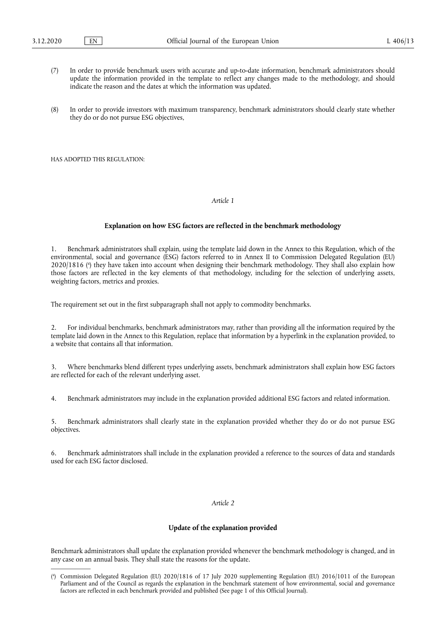- (7) In order to provide benchmark users with accurate and up-to-date information, benchmark administrators should update the information provided in the template to reflect any changes made to the methodology, and should indicate the reason and the dates at which the information was updated.
- (8) In order to provide investors with maximum transparency, benchmark administrators should clearly state whether they do or do not pursue ESG objectives,

HAS ADOPTED THIS REGULATION:

## *Article 1*

#### **Explanation on how ESG factors are reflected in the benchmark methodology**

<span id="page-1-1"></span>1. Benchmark administrators shall explain, using the template laid down in the Annex to this Regulation, which of the environmental, social and governance (ESG) factors referred to in Annex II to Commission Delegated Regulation (EU) 2020/1816 [\(](#page-1-0) 4 ) they have taken into account when designing their benchmark methodology. They shall also explain how those factors are reflected in the key elements of that methodology, including for the selection of underlying assets, weighting factors, metrics and proxies.

The requirement set out in the first subparagraph shall not apply to commodity benchmarks.

2. For individual benchmarks, benchmark administrators may, rather than providing all the information required by the template laid down in the Annex to this Regulation, replace that information by a hyperlink in the explanation provided, to a website that contains all that information.

3. Where benchmarks blend different types underlying assets, benchmark administrators shall explain how ESG factors are reflected for each of the relevant underlying asset.

4. Benchmark administrators may include in the explanation provided additional ESG factors and related information.

5. Benchmark administrators shall clearly state in the explanation provided whether they do or do not pursue ESG objectives.

6. Benchmark administrators shall include in the explanation provided a reference to the sources of data and standards used for each ESG factor disclosed.

### *Article 2*

## **Update of the explanation provided**

Benchmark administrators shall update the explanation provided whenever the benchmark methodology is changed, and in any case on an annual basis. They shall state the reasons for the update.

<span id="page-1-0"></span>[<sup>\(</sup>](#page-1-1) 4 ) Commission Delegated Regulation (EU) 2020/1816 of 17 July 2020 supplementing Regulation (EU) 2016/1011 of the European Parliament and of the Council as regards the explanation in the benchmark statement of how environmental, social and governance factors are reflected in each benchmark provided and published (See page 1 of this Official Journal).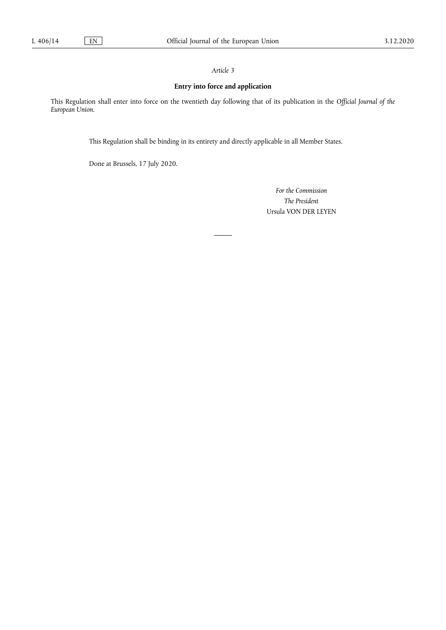# *Article 3*

# **Entry into force and application**

This Regulation shall enter into force on the twentieth day following that of its publication in the *Official Journal of the European Union*.

This Regulation shall be binding in its entirety and directly applicable in all Member States.

Done at Brussels, 17 July 2020.

*For the Commission The President*  Ursula VON DER LEYEN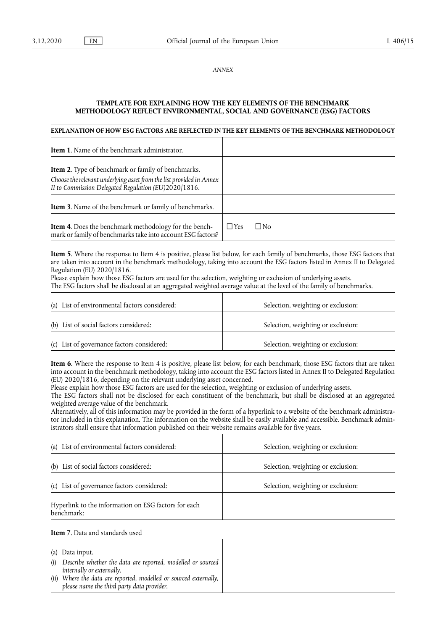*ANNEX* 

## **TEMPLATE FOR EXPLAINING HOW THE KEY ELEMENTS OF THE BENCHMARK METHODOLOGY REFLECT ENVIRONMENTAL, SOCIAL AND GOVERNANCE (ESG) FACTORS**

### **EXPLANATION OF HOW ESG FACTORS ARE REFLECTED IN THE KEY ELEMENTS OF THE BENCHMARK METHODOLOGY**

| <b>Item 1.</b> Name of the benchmark administrator.                                                                                                                                       |                    |
|-------------------------------------------------------------------------------------------------------------------------------------------------------------------------------------------|--------------------|
| <b>Item 2.</b> Type of benchmark or family of benchmarks.<br>Choose the relevant underlying asset from the list provided in Annex<br>II to Commission Delegated Regulation (EU)2020/1816. |                    |
| <b>Item 3.</b> Name of the benchmark or family of benchmarks.                                                                                                                             |                    |
| <b>Item 4.</b> Does the benchmark methodology for the bench-<br>mark or family of benchmarks take into account ESG factors?                                                               | $\Box$ Yes<br>□ No |

**Item 5**. Where the response to Item 4 is positive, please list below, for each family of benchmarks, those ESG factors that are taken into account in the benchmark methodology, taking into account the ESG factors listed in Annex II to Delegated Regulation (EU) 2020/1816.

Please explain how those ESG factors are used for the selection, weighting or exclusion of underlying assets. The ESG factors shall be disclosed at an aggregated weighted average value at the level of the family of benchmarks.

| (a) List of environmental factors considered: | Selection, weighting or exclusion: |
|-----------------------------------------------|------------------------------------|
| (b) List of social factors considered:        | Selection, weighting or exclusion: |
| (c) List of governance factors considered:    | Selection, weighting or exclusion: |

**Item 6**. Where the response to Item 4 is positive, please list below, for each benchmark, those ESG factors that are taken into account in the benchmark methodology, taking into account the ESG factors listed in Annex II to Delegated Regulation (EU) 2020/1816, depending on the relevant underlying asset concerned.

Please explain how those ESG factors are used for the selection, weighting or exclusion of underlying assets.

The ESG factors shall not be disclosed for each constituent of the benchmark, but shall be disclosed at an aggregated weighted average value of the benchmark.

Alternatively, all of this information may be provided in the form of a hyperlink to a website of the benchmark administrator included in this explanation. The information on the website shall be easily available and accessible. Benchmark administrators shall ensure that information published on their website remains available for five years.

| (a) List of environmental factors considered:                      | Selection, weighting or exclusion: |
|--------------------------------------------------------------------|------------------------------------|
| (b) List of social factors considered:                             | Selection, weighting or exclusion: |
| (c) List of governance factors considered:                         | Selection, weighting or exclusion: |
| Hyperlink to the information on ESG factors for each<br>benchmark: |                                    |

#### **Item 7**. Data and standards used

- (a) Data input.
- (i) *Describe whether the data are reported, modelled or sourced internally or externally.*
- (ii) *Where the data are reported, modelled or sourced externally, please name the third party data provider.*